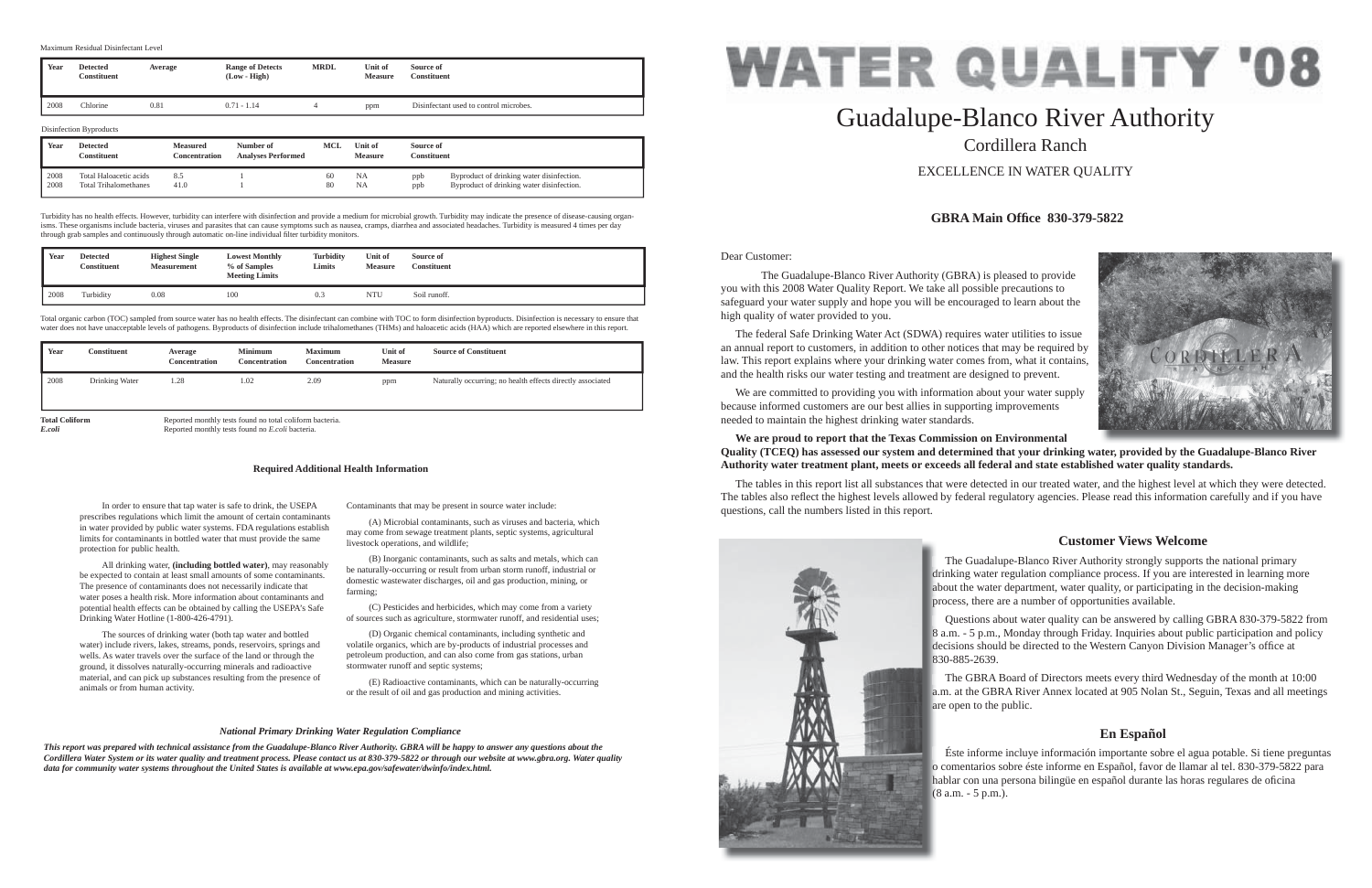Dear Customer:

 The Guadalupe-Blanco River Authority (GBRA) is pleased to provide you with this 2008 Water Quality Report. We take all possible precautions to safeguard your water supply and hope you will be encouraged to learn about the high quality of water provided to you.

 The federal Safe Drinking Water Act (SDWA) requires water utilities to issue an annual report to customers, in addition to other notices that may be required by law. This report explains where your drinking water comes from, what it contains, and the health risks our water testing and treatment are designed to prevent.

 We are committed to providing you with information about your water supply because informed customers are our best allies in supporting improvements needed to maintain the highest drinking water standards.

### **We are proud to report that the Texas Commission on Environmental Quality (TCEQ) has assessed our system and determined that your drinking water, provided by the Guadalupe-Blanco River Authority water treatment plant, meets or exceeds all federal and state established water quality standards.**

The tables in this report list all substances that were detected in our treated water, and the highest level at which they were detected. The tables also reflect the highest levels allowed by federal regulatory agencies. Please read this information carefully and if you have questions, call the numbers listed in this report.



# Guadalupe-Blanco River Authority Cordillera RanchEXCELLENCE IN WATER QUALITY

# **GBRA Main Offi ce 830-379-5822**

# **Customer Views Welcome**

# **En Español**

 In order to ensure that tap water is safe to drink, the USEPA prescribes regulations which limit the amount of certain contaminants in water provided by public water systems. FDA regulations establish limits for contaminants in bottled water that must provide the same protection for public health.

 All drinking water, **(including bottled water)**, may reasonably be expected to contain at least small amounts of some contaminants. The presence of contaminants does not necessarily indicate that water poses a health risk. More information about contaminants and potential health effects can be obtained by calling the USEPA's Safe Drinking Water Hotline (1-800-426-4791).

**Total Coliform** Reported monthly tests found no total coliform bacteria.<br>
Reported monthly tests found no *E coli* bacteria. *E.coli* Reported monthly tests found no *E.coli* bacteria.

> The Guadalupe-Blanco River Authority strongly supports the national primary drinking water regulation compliance process. If you are interested in learning more d about the water department, water quality, or participating in the decision-making a process, there are a number of opportunities available. p

 The sources of drinking water (both tap water and bottled water) include rivers, lakes, streams, ponds, reservoirs, springs and wells. As water travels over the surface of the land or through the ground, it dissolves naturally-occurring minerals and radioactive material, and can pick up substances resulting from the presence of animals or from human activity.

 Questions about water quality can be answered by calling GBRA 830-379-5822 from 8 a.m. - 5 p.m., Monday through Friday. Inquiries about public participation and policy 8 decisions should be directed to the Western Canyon Division Manager's office at 830-885-2639. 8

 The GBRA Board of Directors meets every third Wednesday of the month at 10:00 a.m. at the GBRA River Annex located at 905 Nolan St., Seguin, Texas and all meetings a are open to the public. a

Contaminants that may be present in source water include:

 Éste informe incluye información importante sobre el agua potable. Si tiene preguntas o comentarios sobre éste informe en Español, favor de llamar al tel. 830-379-5822 para o hablar con una persona bilingüe en español durante las horas regulares de oficina (8 a.m. - 5 p.m.). (



 (A) Microbial contaminants, such as viruses and bacteria, which may come from sewage treatment plants, septic systems, agricultural livestock operations, and wildlife;

 (B) Inorganic contaminants, such as salts and metals, which can be naturally-occurring or result from urban storm runoff, industrial or domestic wastewater discharges, oil and gas production, mining, or farming;

 (C) Pesticides and herbicides, which may come from a variety of sources such as agriculture, stormwater runoff, and residential uses;

 (D) Organic chemical contaminants, including synthetic and volatile organics, which are by-products of industrial processes and petroleum production, and can also come from gas stations, urban stormwater runoff and septic systems;

 (E) Radioactive contaminants, which can be naturally-occurring or the result of oil and gas production and mining activities.

#### **Required Additional Health Information**

#### *National Primary Drinking Water Regulation Compliance*

*This report was prepared with technical assistance from the Guadalupe-Blanco River Authority. GBRA will be happy to answer any questions about the Cordillera Water System or its water quality and treatment process. Please contact us at 830-379-5822 or through our website at www.gbra.org. Water quality data for community water systems throughout the United States is available at www.epa.gov/safewater/dwinfo/index.html.*

| Year | Detected<br>Constituent | <b>Highest Single</b><br><b>Measurement</b> | <b>Lowest Monthly</b><br>% of Samples<br><b>Meeting Limits</b> | Turbidity<br><b>Limits</b> | <b>Unit of</b><br><b>Measure</b> | Source of<br>Constituent |
|------|-------------------------|---------------------------------------------|----------------------------------------------------------------|----------------------------|----------------------------------|--------------------------|
| 2008 | Turbidity               | 0.08                                        | 100                                                            | 0.3                        | <b>NTU</b>                       | Soil runoff.             |

Total organic carbon (TOC) sampled from source water has no health effects. The disinfectant can combine with TOC to form disinfection byproducts. Disinfection is necessary to ensure that water does not have unacceptable levels of pathogens. Byproducts of disinfection include trihalomethanes (THMs) and haloacetic acids (HAA) which are reported elsewhere in this report.

| Year | Constituent    | Average<br>Concentration | <b>Minimum</b><br><b>Concentration</b> | <b>Maximum</b><br>Concentration | <b>Unit of</b><br><b>Measure</b> | <b>Source of Constituent</b>                               |
|------|----------------|--------------------------|----------------------------------------|---------------------------------|----------------------------------|------------------------------------------------------------|
| 2008 | Drinking Water | 1.28                     | 1.02                                   | 2.09                            | ppm                              | Naturally occurring; no health effects directly associated |

|      | Constituent                  | <b>Concentration</b> | <b>Analyses Performed</b> |    | Measure   | Constituent |                                           |
|------|------------------------------|----------------------|---------------------------|----|-----------|-------------|-------------------------------------------|
| 2008 | Total Haloacetic acids       | 8.5                  |                           | 60 | <b>NA</b> | ppb         | Byproduct of drinking water disinfection. |
| 2008 | <b>Total Trihalomethanes</b> | 41.0                 |                           | 80 | <b>NA</b> | ppb         | Byproduct of drinking water disinfection. |

Turbidity has no health effects. However, turbidity can interfere with disinfection and provide a medium for microbial growth. Turbidity may indicate the presence of disease-causing organisms. These organisms include bacteria, viruses and parasites that can cause symptoms such as nausea, cramps, diarrhea and associated headaches. Turbidity is measured 4 times per day through grab samples and continuously through automatic on-line individual filter turbidity monitors.

| Year | <b>Detected</b><br>Constituent | Average                          | <b>Range of Detects</b><br>$(Low - High)$ | <b>MRDL</b> | Unit of<br><b>Measure</b> | Source of<br><b>Constituent</b>        |
|------|--------------------------------|----------------------------------|-------------------------------------------|-------------|---------------------------|----------------------------------------|
| 2008 | Chlorine                       | 0.81                             | $0.71 - 1.14$                             | 4           | ppm                       | Disinfectant used to control microbes. |
|      | Disinfection Byproducts        |                                  |                                           |             |                           |                                        |
| Year | <b>Detected</b><br>Constituent | <b>Measured</b><br>Concentration | Number of<br>Analysse Devfermed           | <b>MCL</b>  | Unit of<br>Moography      | Source of<br>Constituent               |

Maximum Residual Disinfectant Level